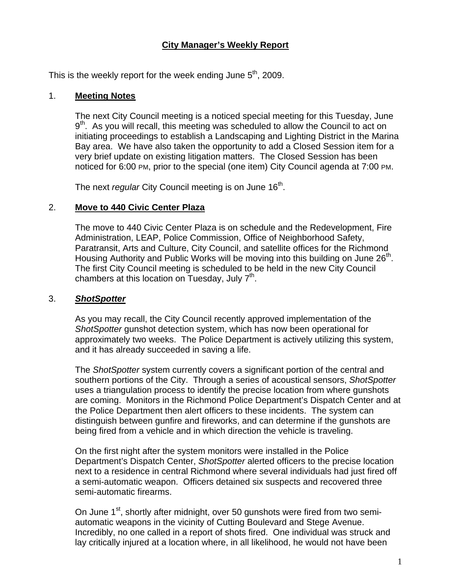## **City Manager's Weekly Report**

This is the weekly report for the week ending June  $5^{th}$ , 2009.

#### 1. **Meeting Notes**

The next City Council meeting is a noticed special meeting for this Tuesday, June  $9<sup>th</sup>$ . As you will recall, this meeting was scheduled to allow the Council to act on initiating proceedings to establish a Landscaping and Lighting District in the Marina Bay area. We have also taken the opportunity to add a Closed Session item for a very brief update on existing litigation matters. The Closed Session has been noticed for 6:00 PM, prior to the special (one item) City Council agenda at 7:00 PM.

The next *regular* City Council meeting is on June 16<sup>th</sup>.

#### 2. **Move to 440 Civic Center Plaza**

The move to 440 Civic Center Plaza is on schedule and the Redevelopment, Fire Administration, LEAP, Police Commission, Office of Neighborhood Safety, Paratransit, Arts and Culture, City Council, and satellite offices for the Richmond Housing Authority and Public Works will be moving into this building on June  $26<sup>th</sup>$ . The first City Council meeting is scheduled to be held in the new City Council chambers at this location on Tuesday, July  $7<sup>th</sup>$ .

#### 3. *ShotSpotter*

As you may recall, the City Council recently approved implementation of the *ShotSpotter* gunshot detection system, which has now been operational for approximately two weeks. The Police Department is actively utilizing this system, and it has already succeeded in saving a life.

The *ShotSpotter* system currently covers a significant portion of the central and southern portions of the City. Through a series of acoustical sensors, *ShotSpotter* uses a triangulation process to identify the precise location from where gunshots are coming. Monitors in the Richmond Police Department's Dispatch Center and at the Police Department then alert officers to these incidents. The system can distinguish between gunfire and fireworks, and can determine if the gunshots are being fired from a vehicle and in which direction the vehicle is traveling.

On the first night after the system monitors were installed in the Police Department's Dispatch Center, *ShotSpotter* alerted officers to the precise location next to a residence in central Richmond where several individuals had just fired off a semi-automatic weapon. Officers detained six suspects and recovered three semi-automatic firearms.

On June 1<sup>st</sup>, shortly after midnight, over 50 gunshots were fired from two semiautomatic weapons in the vicinity of Cutting Boulevard and Stege Avenue. Incredibly, no one called in a report of shots fired. One individual was struck and lay critically injured at a location where, in all likelihood, he would not have been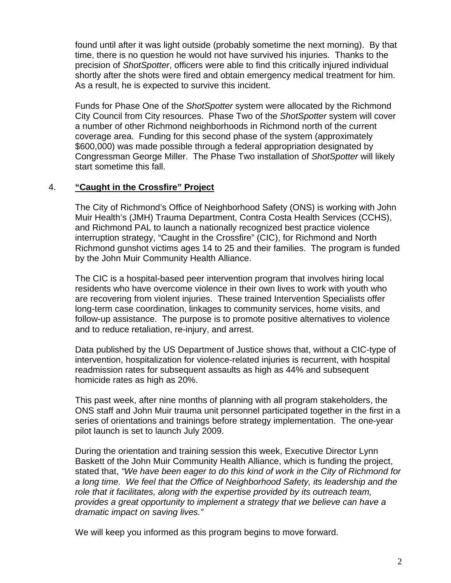found until after it was light outside (probably sometime the next morning). By that time, there is no question he would not have survived his injuries. Thanks to the precision of *ShotSpotter*, officers were able to find this critically injured individual shortly after the shots were fired and obtain emergency medical treatment for him. As a result, he is expected to survive this incident.

Funds for Phase One of the *ShotSpotter* system were allocated by the Richmond City Council from City resources. Phase Two of the *ShotSpotter* system will cover a number of other Richmond neighborhoods in Richmond north of the current coverage area. Funding for this second phase of the system (approximately \$600,000) was made possible through a federal appropriation designated by Congressman George Miller. The Phase Two installation of *ShotSpotter* will likely start sometime this fall.

## 4. **"Caught in the Crossfire" Project**

The City of Richmond's Office of Neighborhood Safety (ONS) is working with John Muir Health's (JMH) Trauma Department, Contra Costa Health Services (CCHS), and Richmond PAL to launch a nationally recognized best practice violence interruption strategy, "Caught in the Crossfire" (CIC), for Richmond and North Richmond gunshot victims ages 14 to 25 and their families. The program is funded by the John Muir Community Health Alliance.

The CIC is a hospital-based peer intervention program that involves hiring local residents who have overcome violence in their own lives to work with youth who are recovering from violent injuries. These trained Intervention Specialists offer long-term case coordination, linkages to community services, home visits, and follow-up assistance. The purpose is to promote positive alternatives to violence and to reduce retaliation, re-injury, and arrest.

Data published by the US Department of Justice shows that, without a CIC-type of intervention, hospitalization for violence-related injuries is recurrent, with hospital readmission rates for subsequent assaults as high as 44% and subsequent homicide rates as high as 20%.

This past week, after nine months of planning with all program stakeholders, the ONS staff and John Muir trauma unit personnel participated together in the first in a series of orientations and trainings before strategy implementation. The one-year pilot launch is set to launch July 2009.

During the orientation and training session this week, Executive Director Lynn Baskett of the John Muir Community Health Alliance, which is funding the project, stated that, *"We have been eager to do this kind of work in the City of Richmond for a long time. We feel that the Office of Neighborhood Safety, its leadership and the role that it facilitates, along with the expertise provided by its outreach team, provides a great opportunity to implement a strategy that we believe can have a dramatic impact on saving lives."* 

We will keep you informed as this program begins to move forward.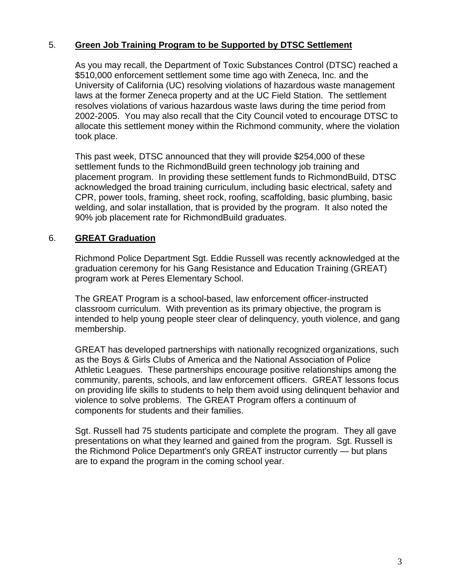## 5. **Green Job Training Program to be Supported by DTSC Settlement**

As you may recall, the Department of Toxic Substances Control (DTSC) reached a \$510,000 enforcement settlement some time ago with Zeneca, Inc. and the University of California (UC) resolving violations of hazardous waste management laws at the former Zeneca property and at the UC Field Station. The settlement resolves violations of various hazardous waste laws during the time period from 2002-2005. You may also recall that the City Council voted to encourage DTSC to allocate this settlement money within the Richmond community, where the violation took place.

This past week, DTSC announced that they will provide \$254,000 of these settlement funds to the RichmondBuild green technology job training and placement program. In providing these settlement funds to RichmondBuild, DTSC acknowledged the broad training curriculum, including basic electrical, safety and CPR, power tools, framing, sheet rock, roofing, scaffolding, basic plumbing, basic welding, and solar installation, that is provided by the program. It also noted the 90% job placement rate for RichmondBuild graduates.

## 6. **GREAT Graduation**

Richmond Police Department Sgt. Eddie Russell was recently acknowledged at the graduation ceremony for his Gang Resistance and Education Training (GREAT) program work at Peres Elementary School.

The GREAT Program is a school-based, law enforcement officer-instructed classroom curriculum. With prevention as its primary objective, the program is intended to help young people steer clear of delinquency, youth violence, and gang membership.

GREAT has developed partnerships with nationally recognized organizations, such as the Boys & Girls Clubs of America and the National Association of Police Athletic Leagues. These partnerships encourage positive relationships among the community, parents, schools, and law enforcement officers. GREAT lessons focus on providing life skills to students to help them avoid using delinquent behavior and violence to solve problems. The GREAT Program offers a continuum of components for students and their families.

Sgt. Russell had 75 students participate and complete the program. They all gave presentations on what they learned and gained from the program. Sgt. Russell is the Richmond Police Department's only GREAT instructor currently — but plans are to expand the program in the coming school year.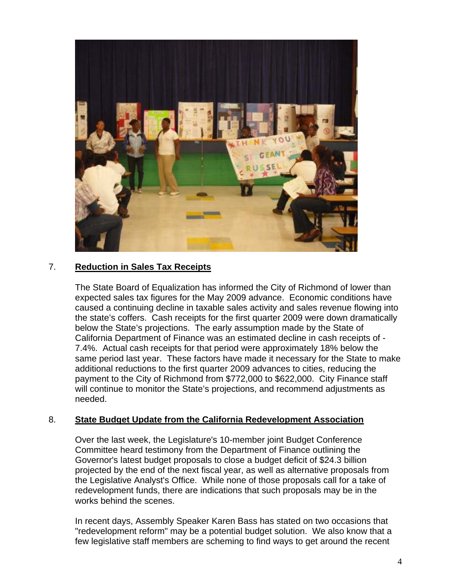

## 7. **Reduction in Sales Tax Receipts**

The State Board of Equalization has informed the City of Richmond of lower than expected sales tax figures for the May 2009 advance. Economic conditions have caused a continuing decline in taxable sales activity and sales revenue flowing into the state's coffers. Cash receipts for the first quarter 2009 were down dramatically below the State's projections. The early assumption made by the State of California Department of Finance was an estimated decline in cash receipts of - 7.4%. Actual cash receipts for that period were approximately 18% below the same period last year. These factors have made it necessary for the State to make additional reductions to the first quarter 2009 advances to cities, reducing the payment to the City of Richmond from \$772,000 to \$622,000. City Finance staff will continue to monitor the State's projections, and recommend adjustments as needed.

#### 8. **State Budget Update from the California Redevelopment Association**

Over the last week, the Legislature's 10-member joint Budget Conference Committee heard testimony from the Department of Finance outlining the Governor's latest budget proposals to close a budget deficit of \$24.3 billion projected by the end of the next fiscal year, as well as alternative proposals from the Legislative Analyst's Office. While none of those proposals call for a take of redevelopment funds, there are indications that such proposals may be in the works behind the scenes.

In recent days, Assembly Speaker Karen Bass has stated on two occasions that "redevelopment reform" may be a potential budget solution. We also know that a few legislative staff members are scheming to find ways to get around the recent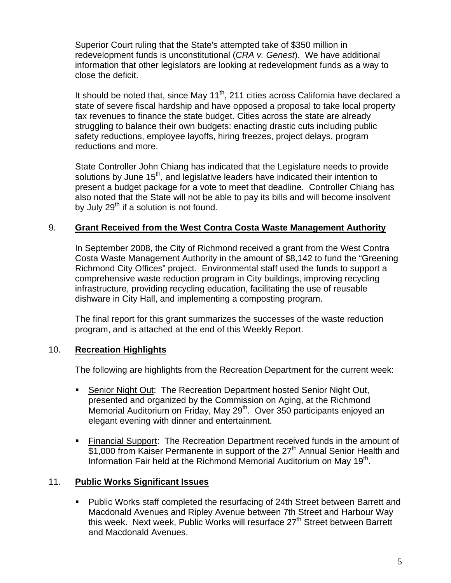Superior Court ruling that the State's attempted take of \$350 million in redevelopment funds is unconstitutional (*CRA v. Genest*). We have additional information that other legislators are looking at redevelopment funds as a way to close the deficit.

It should be noted that, since May 11<sup>th</sup>, 211 cities across California have declared a state of severe fiscal hardship and have opposed a proposal to take local property tax revenues to finance the state budget. Cities across the state are already struggling to balance their own budgets: enacting drastic cuts including public safety reductions, employee layoffs, hiring freezes, project delays, program reductions and more.

State Controller John Chiang has indicated that the Legislature needs to provide solutions by June  $15<sup>th</sup>$ , and legislative leaders have indicated their intention to present a budget package for a vote to meet that deadline. Controller Chiang has also noted that the State will not be able to pay its bills and will become insolvent by July  $29<sup>th</sup>$  if a solution is not found.

## 9. **Grant Received from the West Contra Costa Waste Management Authority**

In September 2008, the City of Richmond received a grant from the West Contra Costa Waste Management Authority in the amount of \$8,142 to fund the "Greening Richmond City Offices" project. Environmental staff used the funds to support a comprehensive waste reduction program in City buildings, improving recycling infrastructure, providing recycling education, facilitating the use of reusable dishware in City Hall, and implementing a composting program.

The final report for this grant summarizes the successes of the waste reduction program, and is attached at the end of this Weekly Report.

#### 10. **Recreation Highlights**

The following are highlights from the Recreation Department for the current week:

- Senior Night Out: The Recreation Department hosted Senior Night Out, presented and organized by the Commission on Aging, at the Richmond Memorial Auditorium on Friday, May 29<sup>th</sup>. Over 350 participants enjoyed an elegant evening with dinner and entertainment.
- Financial Support: The Recreation Department received funds in the amount of  $\overline{$1,000}$  from Kaiser Permanente in support of the 27<sup>th</sup> Annual Senior Health and Information Fair held at the Richmond Memorial Auditorium on May 19<sup>th</sup>.

#### 11. **Public Works Significant Issues**

**Public Works staff completed the resurfacing of 24th Street between Barrett and** Macdonald Avenues and Ripley Avenue between 7th Street and Harbour Way this week. Next week, Public Works will resurface 27<sup>th</sup> Street between Barrett and Macdonald Avenues.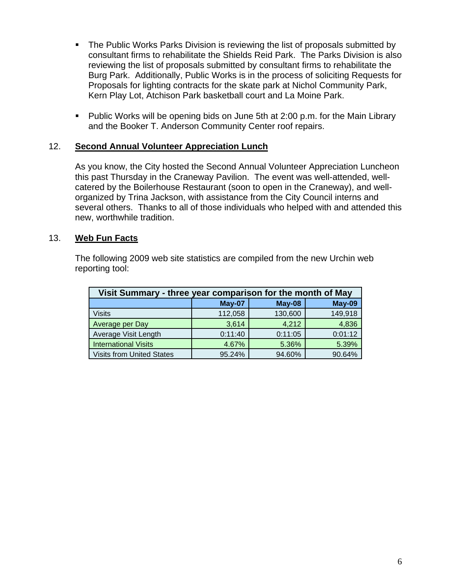- The Public Works Parks Division is reviewing the list of proposals submitted by consultant firms to rehabilitate the Shields Reid Park. The Parks Division is also reviewing the list of proposals submitted by consultant firms to rehabilitate the Burg Park. Additionally, Public Works is in the process of soliciting Requests for Proposals for lighting contracts for the skate park at Nichol Community Park, Kern Play Lot, Atchison Park basketball court and La Moine Park.
- Public Works will be opening bids on June 5th at 2:00 p.m. for the Main Library and the Booker T. Anderson Community Center roof repairs.

#### 12. **Second Annual Volunteer Appreciation Lunch**

As you know, the City hosted the Second Annual Volunteer Appreciation Luncheon this past Thursday in the Craneway Pavilion. The event was well-attended, wellcatered by the Boilerhouse Restaurant (soon to open in the Craneway), and wellorganized by Trina Jackson, with assistance from the City Council interns and several others. Thanks to all of those individuals who helped with and attended this new, worthwhile tradition.

#### 13. **Web Fun Facts**

The following 2009 web site statistics are compiled from the new Urchin web reporting tool:

| Visit Summary - three year comparison for the month of May |         |               |         |
|------------------------------------------------------------|---------|---------------|---------|
|                                                            | May-07  | <b>May-08</b> | May-09  |
| <b>Visits</b>                                              | 112,058 | 130,600       | 149,918 |
| Average per Day                                            | 3,614   | 4,212         | 4,836   |
| Average Visit Length                                       | 0:11:40 | 0:11:05       | 0:01:12 |
| <b>International Visits</b>                                | 4.67%   | 5.36%         | 5.39%   |
| <b>Visits from United States</b>                           | 95.24%  | 94.60%        | 90.64%  |